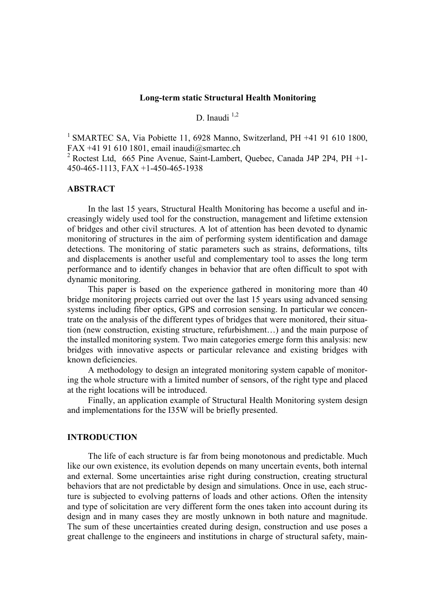#### **Long-term static Structural Health Monitoring**

D. Inaudi  $^{1,2}$ 

<sup>1</sup> SMARTEC SA, Via Pobiette 11, 6928 Manno, Switzerland, PH +41 91 610 1800, FAX +41 91 610 1801, email inaudi $@$ smartec.ch

<sup>2</sup> Roctest Ltd, 665 Pine Avenue, Saint-Lambert, Quebec, Canada J4P 2P4, PH +1-450-465-1113, FAX +1-450-465-1938

#### **ABSTRACT**

In the last 15 years, Structural Health Monitoring has become a useful and increasingly widely used tool for the construction, management and lifetime extension of bridges and other civil structures. A lot of attention has been devoted to dynamic monitoring of structures in the aim of performing system identification and damage detections. The monitoring of static parameters such as strains, deformations, tilts and displacements is another useful and complementary tool to asses the long term performance and to identify changes in behavior that are often difficult to spot with dynamic monitoring.

This paper is based on the experience gathered in monitoring more than 40 bridge monitoring projects carried out over the last 15 years using advanced sensing systems including fiber optics, GPS and corrosion sensing. In particular we concentrate on the analysis of the different types of bridges that were monitored, their situation (new construction, existing structure, refurbishment…) and the main purpose of the installed monitoring system. Two main categories emerge form this analysis: new bridges with innovative aspects or particular relevance and existing bridges with known deficiencies.

A methodology to design an integrated monitoring system capable of monitoring the whole structure with a limited number of sensors, of the right type and placed at the right locations will be introduced.

Finally, an application example of Structural Health Monitoring system design and implementations for the I35W will be briefly presented.

### **INTRODUCTION**

The life of each structure is far from being monotonous and predictable. Much like our own existence, its evolution depends on many uncertain events, both internal and external. Some uncertainties arise right during construction, creating structural behaviors that are not predictable by design and simulations. Once in use, each structure is subjected to evolving patterns of loads and other actions. Often the intensity and type of solicitation are very different form the ones taken into account during its design and in many cases they are mostly unknown in both nature and magnitude. The sum of these uncertainties created during design, construction and use poses a great challenge to the engineers and institutions in charge of structural safety, main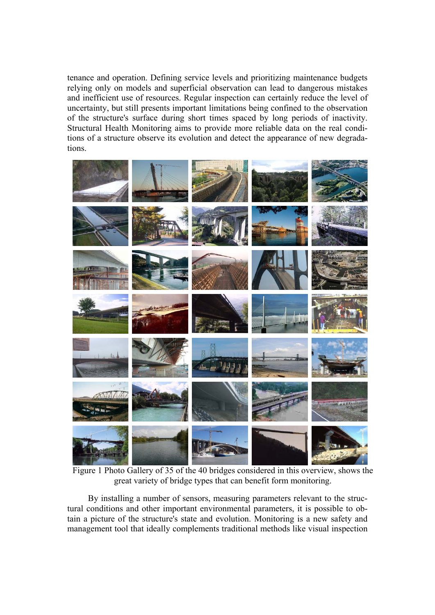tenance and operation. Defining service levels and prioritizing maintenance budgets relying only on models and superficial observation can lead to dangerous mistakes and inefficient use of resources. Regular inspection can certainly reduce the level of uncertainty, but still presents important limitations being confined to the observation of the structure's surface during short times spaced by long periods of inactivity. Structural Health Monitoring aims to provide more reliable data on the real conditions of a structure observe its evolution and detect the appearance of new degradations.



Figure 1 Photo Gallery of 35 of the 40 bridges considered in this overview, shows the great variety of bridge types that can benefit form monitoring.

By installing a number of sensors, measuring parameters relevant to the structural conditions and other important environmental parameters, it is possible to obtain a picture of the structure's state and evolution. Monitoring is a new safety and management tool that ideally complements traditional methods like visual inspection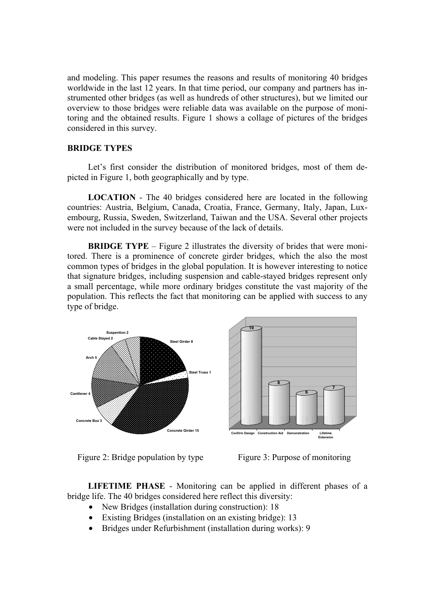and modeling. This paper resumes the reasons and results of monitoring 40 bridges worldwide in the last 12 years. In that time period, our company and partners has instrumented other bridges (as well as hundreds of other structures), but we limited our overview to those bridges were reliable data was available on the purpose of monitoring and the obtained results. Figure 1 shows a collage of pictures of the bridges considered in this survey.

# **BRIDGE TYPES**

Let's first consider the distribution of monitored bridges, most of them depicted in Figure 1, both geographically and by type.

**LOCATION** - The 40 bridges considered here are located in the following countries: Austria, Belgium, Canada, Croatia, France, Germany, Italy, Japan, Luxembourg, Russia, Sweden, Switzerland, Taiwan and the USA. Several other projects were not included in the survey because of the lack of details.

**BRIDGE TYPE** – Figure 2 illustrates the diversity of brides that were monitored. There is a prominence of concrete girder bridges, which the also the most common types of bridges in the global population. It is however interesting to notice that signature bridges, including suspension and cable-stayed bridges represent only a small percentage, while more ordinary bridges constitute the vast majority of the population. This reflects the fact that monitoring can be applied with success to any type of bridge.



Figure 2: Bridge population by type Figure 3: Purpose of monitoring

**LIFETIME PHASE** - Monitoring can be applied in different phases of a bridge life. The 40 bridges considered here reflect this diversity:

- New Bridges (installation during construction): 18
- Existing Bridges (installation on an existing bridge): 13
- Bridges under Refurbishment (installation during works): 9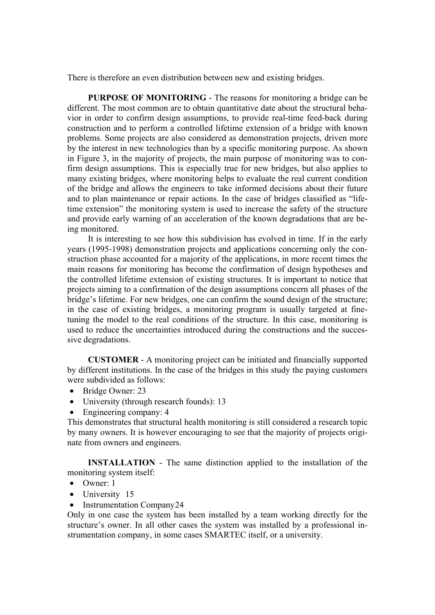There is therefore an even distribution between new and existing bridges.

**PURPOSE OF MONITORING** - The reasons for monitoring a bridge can be different. The most common are to obtain quantitative date about the structural behavior in order to confirm design assumptions, to provide real-time feed-back during construction and to perform a controlled lifetime extension of a bridge with known problems. Some projects are also considered as demonstration projects, driven more by the interest in new technologies than by a specific monitoring purpose. As shown in Figure 3, in the majority of projects, the main purpose of monitoring was to confirm design assumptions. This is especially true for new bridges, but also applies to many existing bridges, where monitoring helps to evaluate the real current condition of the bridge and allows the engineers to take informed decisions about their future and to plan maintenance or repair actions. In the case of bridges classified as "lifetime extension" the monitoring system is used to increase the safety of the structure and provide early warning of an acceleration of the known degradations that are being monitored.

It is interesting to see how this subdivision has evolved in time. If in the early years (1995-1998) demonstration projects and applications concerning only the construction phase accounted for a majority of the applications, in more recent times the main reasons for monitoring has become the confirmation of design hypotheses and the controlled lifetime extension of existing structures. It is important to notice that projects aiming to a confirmation of the design assumptions concern all phases of the bridge's lifetime. For new bridges, one can confirm the sound design of the structure; in the case of existing bridges, a monitoring program is usually targeted at finetuning the model to the real conditions of the structure. In this case, monitoring is used to reduce the uncertainties introduced during the constructions and the successive degradations.

**CUSTOMER** - A monitoring project can be initiated and financially supported by different institutions. In the case of the bridges in this study the paying customers were subdivided as follows:

- Bridge Owner: 23
- University (through research founds): 13
- Engineering company: 4

This demonstrates that structural health monitoring is still considered a research topic by many owners. It is however encouraging to see that the majority of projects originate from owners and engineers.

**INSTALLATION** - The same distinction applied to the installation of the monitoring system itself:

- Owner: 1
- University 15
- Instrumentation Company 24

Only in one case the system has been installed by a team working directly for the structure's owner. In all other cases the system was installed by a professional instrumentation company, in some cases SMARTEC itself, or a university.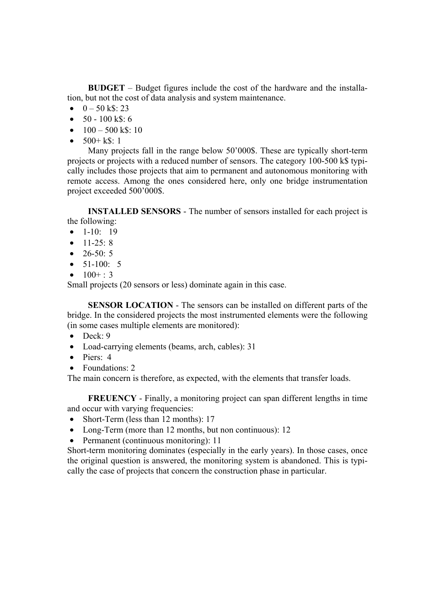**BUDGET** – Budget figures include the cost of the hardware and the installation, but not the cost of data analysis and system maintenance.

- $0 50 \text{ k} 23$
- $50 100 \text{ k}$ \$ 6
- $100 500$  k\$: 10
- $500+ k$ \$: 1

Many projects fall in the range below 50'000\$. These are typically short-term projects or projects with a reduced number of sensors. The category 100-500 k\$ typically includes those projects that aim to permanent and autonomous monitoring with remote access. Among the ones considered here, only one bridge instrumentation project exceeded 500'000\$.

**INSTALLED SENSORS** - The number of sensors installed for each project is the following:

- $\bullet$  1-10 19
- $11-25: 8$
- $26-50:5$
- $51-100: 5$
- $100+:3$

Small projects (20 sensors or less) dominate again in this case.

**SENSOR LOCATION** - The sensors can be installed on different parts of the bridge. In the considered projects the most instrumented elements were the following (in some cases multiple elements are monitored):

- Deck: 9
- Load-carrying elements (beams, arch, cables): 31
- Piers: 4
- Foundations: 2

The main concern is therefore, as expected, with the elements that transfer loads.

**FREUENCY** - Finally, a monitoring project can span different lengths in time and occur with varying frequencies:

- Short-Term (less than 12 months): 17
- Long-Term (more than 12 months, but non continuous): 12
- Permanent (continuous monitoring): 11

Short-term monitoring dominates (especially in the early years). In those cases, once the original question is answered, the monitoring system is abandoned. This is typically the case of projects that concern the construction phase in particular.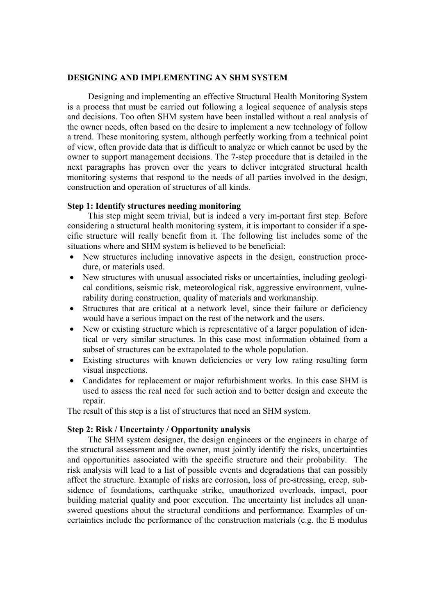### **DESIGNING AND IMPLEMENTING AN SHM SYSTEM**

Designing and implementing an effective Structural Health Monitoring System is a process that must be carried out following a logical sequence of analysis steps and decisions. Too often SHM system have been installed without a real analysis of the owner needs, often based on the desire to implement a new technology of follow a trend. These monitoring system, although perfectly working from a technical point of view, often provide data that is difficult to analyze or which cannot be used by the owner to support management decisions. The 7-step procedure that is detailed in the next paragraphs has proven over the years to deliver integrated structural health monitoring systems that respond to the needs of all parties involved in the design, construction and operation of structures of all kinds.

#### **Step 1: Identify structures needing monitoring**

This step might seem trivial, but is indeed a very im-portant first step. Before considering a structural health monitoring system, it is important to consider if a specific structure will really benefit from it. The following list includes some of the situations where and SHM system is believed to be beneficial:

- New structures including innovative aspects in the design, construction procedure, or materials used.
- New structures with unusual associated risks or uncertainties, including geological conditions, seismic risk, meteorological risk, aggressive environment, vulnerability during construction, quality of materials and workmanship.
- Structures that are critical at a network level, since their failure or deficiency would have a serious impact on the rest of the network and the users.
- New or existing structure which is representative of a larger population of identical or very similar structures. In this case most information obtained from a subset of structures can be extrapolated to the whole population.
- Existing structures with known deficiencies or very low rating resulting form visual inspections.
- Candidates for replacement or major refurbishment works. In this case SHM is used to assess the real need for such action and to better design and execute the repair.

The result of this step is a list of structures that need an SHM system.

### **Step 2: Risk / Uncertainty / Opportunity analysis**

The SHM system designer, the design engineers or the engineers in charge of the structural assessment and the owner, must jointly identify the risks, uncertainties and opportunities associated with the specific structure and their probability. The risk analysis will lead to a list of possible events and degradations that can possibly affect the structure. Example of risks are corrosion, loss of pre-stressing, creep, subsidence of foundations, earthquake strike, unauthorized overloads, impact, poor building material quality and poor execution. The uncertainty list includes all unanswered questions about the structural conditions and performance. Examples of uncertainties include the performance of the construction materials (e.g. the E modulus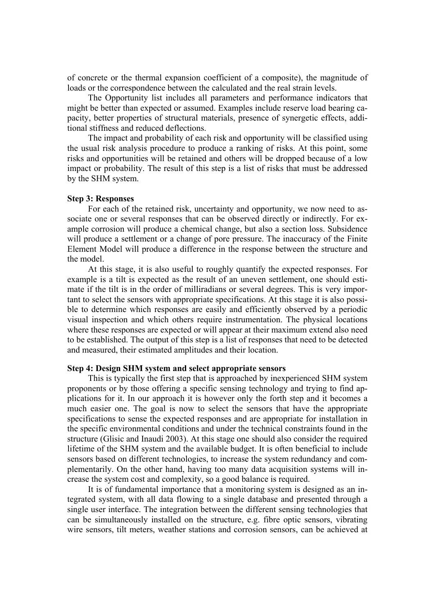of concrete or the thermal expansion coefficient of a composite), the magnitude of loads or the correspondence between the calculated and the real strain levels.

The Opportunity list includes all parameters and performance indicators that might be better than expected or assumed. Examples include reserve load bearing capacity, better properties of structural materials, presence of synergetic effects, additional stiffness and reduced deflections.

The impact and probability of each risk and opportunity will be classified using the usual risk analysis procedure to produce a ranking of risks. At this point, some risks and opportunities will be retained and others will be dropped because of a low impact or probability. The result of this step is a list of risks that must be addressed by the SHM system.

#### **Step 3: Responses**

For each of the retained risk, uncertainty and opportunity, we now need to associate one or several responses that can be observed directly or indirectly. For example corrosion will produce a chemical change, but also a section loss. Subsidence will produce a settlement or a change of pore pressure. The inaccuracy of the Finite Element Model will produce a difference in the response between the structure and the model.

At this stage, it is also useful to roughly quantify the expected responses. For example is a tilt is expected as the result of an uneven settlement, one should estimate if the tilt is in the order of milliradians or several degrees. This is very important to select the sensors with appropriate specifications. At this stage it is also possible to determine which responses are easily and efficiently observed by a periodic visual inspection and which others require instrumentation. The physical locations where these responses are expected or will appear at their maximum extend also need to be established. The output of this step is a list of responses that need to be detected and measured, their estimated amplitudes and their location.

### **Step 4: Design SHM system and select appropriate sensors**

This is typically the first step that is approached by inexperienced SHM system proponents or by those offering a specific sensing technology and trying to find applications for it. In our approach it is however only the forth step and it becomes a much easier one. The goal is now to select the sensors that have the appropriate specifications to sense the expected responses and are appropriate for installation in the specific environmental conditions and under the technical constraints found in the structure (Glisic and Inaudi 2003). At this stage one should also consider the required lifetime of the SHM system and the available budget. It is often beneficial to include sensors based on different technologies, to increase the system redundancy and complementarily. On the other hand, having too many data acquisition systems will increase the system cost and complexity, so a good balance is required.

It is of fundamental importance that a monitoring system is designed as an integrated system, with all data flowing to a single database and presented through a single user interface. The integration between the different sensing technologies that can be simultaneously installed on the structure, e.g. fibre optic sensors, vibrating wire sensors, tilt meters, weather stations and corrosion sensors, can be achieved at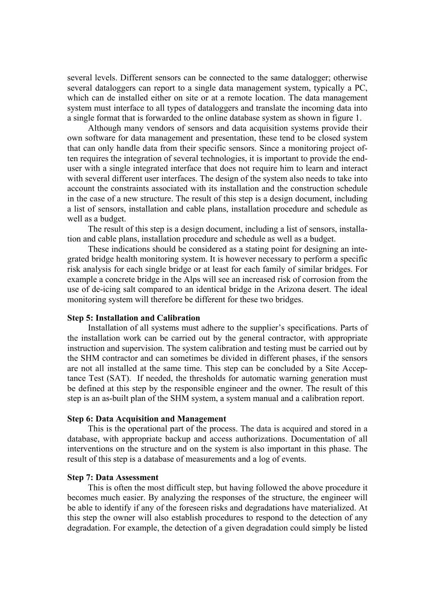several levels. Different sensors can be connected to the same datalogger; otherwise several dataloggers can report to a single data management system, typically a PC, which can de installed either on site or at a remote location. The data management system must interface to all types of dataloggers and translate the incoming data into a single format that is forwarded to the online database system as shown in figure 1.

Although many vendors of sensors and data acquisition systems provide their own software for data management and presentation, these tend to be closed system that can only handle data from their specific sensors. Since a monitoring project often requires the integration of several technologies, it is important to provide the enduser with a single integrated interface that does not require him to learn and interact with several different user interfaces. The design of the system also needs to take into account the constraints associated with its installation and the construction schedule in the case of a new structure. The result of this step is a design document, including a list of sensors, installation and cable plans, installation procedure and schedule as well as a budget.

The result of this step is a design document, including a list of sensors, installation and cable plans, installation procedure and schedule as well as a budget.

These indications should be considered as a stating point for designing an integrated bridge health monitoring system. It is however necessary to perform a specific risk analysis for each single bridge or at least for each family of similar bridges. For example a concrete bridge in the Alps will see an increased risk of corrosion from the use of de-icing salt compared to an identical bridge in the Arizona desert. The ideal monitoring system will therefore be different for these two bridges.

#### **Step 5: Installation and Calibration**

Installation of all systems must adhere to the supplier's specifications. Parts of the installation work can be carried out by the general contractor, with appropriate instruction and supervision. The system calibration and testing must be carried out by the SHM contractor and can sometimes be divided in different phases, if the sensors are not all installed at the same time. This step can be concluded by a Site Acceptance Test (SAT). If needed, the thresholds for automatic warning generation must be defined at this step by the responsible engineer and the owner. The result of this step is an as-built plan of the SHM system, a system manual and a calibration report.

#### **Step 6: Data Acquisition and Management**

This is the operational part of the process. The data is acquired and stored in a database, with appropriate backup and access authorizations. Documentation of all interventions on the structure and on the system is also important in this phase. The result of this step is a database of measurements and a log of events.

#### **Step 7: Data Assessment**

This is often the most difficult step, but having followed the above procedure it becomes much easier. By analyzing the responses of the structure, the engineer will be able to identify if any of the foreseen risks and degradations have materialized. At this step the owner will also establish procedures to respond to the detection of any degradation. For example, the detection of a given degradation could simply be listed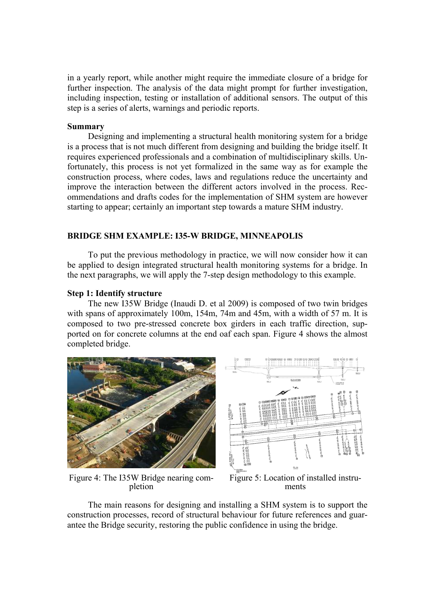in a yearly report, while another might require the immediate closure of a bridge for further inspection. The analysis of the data might prompt for further investigation, including inspection, testing or installation of additional sensors. The output of this step is a series of alerts, warnings and periodic reports.

#### **Summary**

Designing and implementing a structural health monitoring system for a bridge is a process that is not much different from designing and building the bridge itself. It requires experienced professionals and a combination of multidisciplinary skills. Unfortunately, this process is not yet formalized in the same way as for example the construction process, where codes, laws and regulations reduce the uncertainty and improve the interaction between the different actors involved in the process. Recommendations and drafts codes for the implementation of SHM system are however starting to appear; certainly an important step towards a mature SHM industry.

### **BRIDGE SHM EXAMPLE: I35-W BRIDGE, MINNEAPOLIS**

To put the previous methodology in practice, we will now consider how it can be applied to design integrated structural health monitoring systems for a bridge. In the next paragraphs, we will apply the 7-step design methodology to this example.

#### **Step 1: Identify structure**

The new I35W Bridge (Inaudi D. et al 2009) is composed of two twin bridges with spans of approximately 100m, 154m, 74m and 45m, with a width of 57 m. It is composed to two pre-stressed concrete box girders in each traffic direction, supported on for concrete columns at the end oaf each span. Figure 4 shows the almost completed bridge.



Figure 4: The I35W Bridge nearing completion



Figure 5: Location of installed instruments

The main reasons for designing and installing a SHM system is to support the construction processes, record of structural behaviour for future references and guarantee the Bridge security, restoring the public confidence in using the bridge.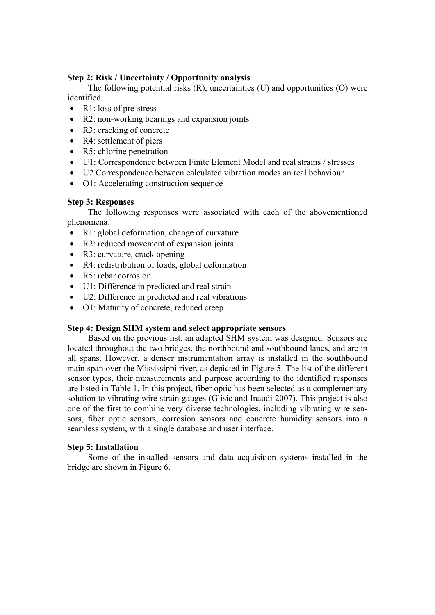# **Step 2: Risk / Uncertainty / Opportunity analysis**

The following potential risks (R), uncertainties (U) and opportunities (O) were identified:

- R1: loss of pre-stress
- R2: non-working bearings and expansion joints
- R3: cracking of concrete
- R4: settlement of piers
- R5: chlorine penetration
- U1: Correspondence between Finite Element Model and real strains / stresses
- U2 Correspondence between calculated vibration modes an real behaviour
- O1: Accelerating construction sequence

# **Step 3: Responses**

The following responses were associated with each of the abovementioned phenomena:

- R1: global deformation, change of curvature
- R2: reduced movement of expansion joints
- R3: curvature, crack opening
- R4: redistribution of loads, global deformation
- R5: rebar corrosion
- U1: Difference in predicted and real strain
- U2: Difference in predicted and real vibrations
- O1: Maturity of concrete, reduced creep

# **Step 4: Design SHM system and select appropriate sensors**

Based on the previous list, an adapted SHM system was designed. Sensors are located throughout the two bridges, the northbound and southbound lanes, and are in all spans. However, a denser instrumentation array is installed in the southbound main span over the Mississippi river, as depicted in Figure 5. The list of the different sensor types, their measurements and purpose according to the identified responses are listed in Table 1. In this project, fiber optic has been selected as a complementary solution to vibrating wire strain gauges (Glisic and Inaudi 2007). This project is also one of the first to combine very diverse technologies, including vibrating wire sensors, fiber optic sensors, corrosion sensors and concrete humidity sensors into a seamless system, with a single database and user interface.

# **Step 5: Installation**

Some of the installed sensors and data acquisition systems installed in the bridge are shown in Figure 6.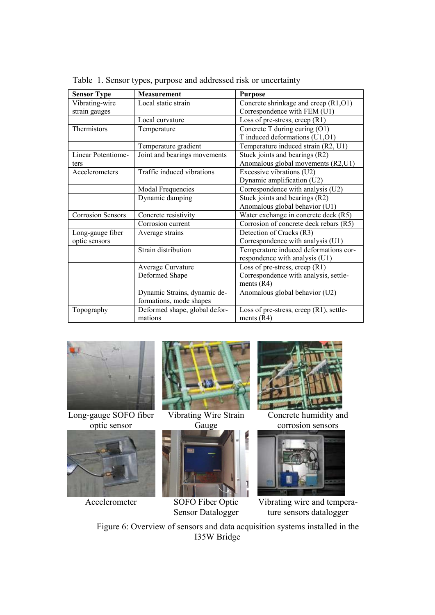| <b>Sensor Type</b>       | <b>Measurement</b>            | <b>Purpose</b>                              |
|--------------------------|-------------------------------|---------------------------------------------|
| Vibrating-wire           | Local static strain           | Concrete shrinkage and creep (R1,O1)        |
| strain gauges            |                               | Correspondence with FEM (U1)                |
|                          | Local curvature               | Loss of pre-stress, $creep(R1)$             |
| Thermistors              | Temperature                   | Concrete T during curing (O1)               |
|                          |                               | T induced deformations (U1,O1)              |
|                          | Temperature gradient          | Temperature induced strain (R2, U1)         |
| Linear Potentiome-       | Joint and bearings movements  | Stuck joints and bearings (R2)              |
| ters                     |                               | Anomalous global movements (R2,U1)          |
| Accelerometers           | Traffic induced vibrations    | Excessive vibrations (U2)                   |
|                          |                               | Dynamic amplification (U2)                  |
|                          | Modal Frequencies             | Correspondence with analysis (U2)           |
|                          | Dynamic damping               | Stuck joints and bearings (R2)              |
|                          |                               | Anomalous global behavior (U1)              |
| <b>Corrosion Sensors</b> | Concrete resistivity          | Water exchange in concrete deck (R5)        |
|                          | Corrosion current             | Corrosion of concrete deck rebars (R5)      |
| Long-gauge fiber         | Average strains               | Detection of Cracks (R3)                    |
| optic sensors            |                               | Correspondence with analysis (U1)           |
|                          | Strain distribution           | Temperature induced deformations cor-       |
|                          |                               | respondence with analysis (U1)              |
|                          | Average Curvature             | Loss of pre-stress, creep (R1)              |
|                          | Deformed Shape                | Correspondence with analysis, settle-       |
|                          |                               | ments $(R4)$                                |
|                          | Dynamic Strains, dynamic de-  | Anomalous global behavior $(\overline{U2})$ |
|                          | formations, mode shapes       |                                             |
| Topography               | Deformed shape, global defor- | Loss of pre-stress, creep $(R1)$ , settle-  |
|                          | mations                       | ments $(R4)$                                |

Table 1. Sensor types, purpose and addressed risk or uncertainty



Long-gauge SOFO fiber optic sensor





Vibrating Wire Strain Gauge







Concrete humidity and corrosion sensors



Vibrating wire and temperature sensors datalogger

Figure 6: Overview of sensors and data acquisition systems installed in the I35W Bridge